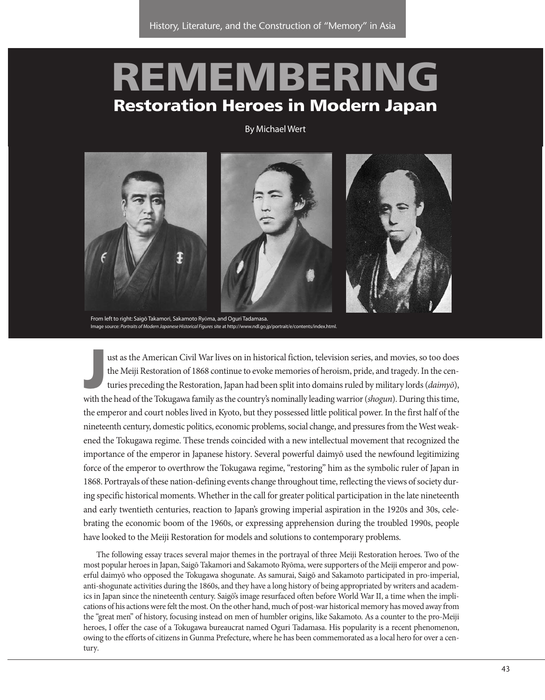# **REMEMBERING Restoration Heroes in Modern Japan**

## By Michael Wert



From left to right: Saigō Takamori, Sakamoto Ryōma, and Oguri Tadamasa. Image source: Portraits of Modern Japanese Historical Figures site at http://www.ndl.go.jp/portrait/e/contents/index.html

**Just as the American Civil War lives on in historical fiction, television series, and movies, so too does the Meiji Restoration of 1868 continue to evoke memories of heroism, pride, and tragedy. In the centuries preceding** ust as the American Civil War lives on in historical fiction, television series, and movies, so too does the Meiji Restoration of 1868 continue to evoke memories of heroism, pride, and tragedy. In the centuries preceding the Restoration, Japan had been split into domains ruled by military lords (daimyō), the emperor and court nobles lived in Kyoto, but they possessed little political power. In the first half of the nineteenth century, domestic politics, economic problems, social change, and pressures from the West weakened the Tokugawa regime. These trends coincided with a new intellectual movement that recognized the importance of the emperor in Japanese history. Several powerful daimyō used the newfound legitimizing force of the emperor to overthrow the Tokugawa regime, "restoring" him as the symbolic ruler of Japan in 1868. Portrayals of these nation-defining events change throughout time, reflecting the views of society during specific historical moments. Whether in the call for greater political participation in the late nineteenth and early twentieth centuries, reaction to Japan's growing imperial aspiration in the 1920s and 30s, celebrating the economic boom of the 1960s, or expressing apprehension during the troubled 1990s, people have looked to the Meiji Restoration for models and solutions to contemporary problems.

The following essay traces several major themes in the portrayal of three Meiji Restoration heroes. Two of the most popular heroes in Japan, Saigō Takamori and Sakamoto Ryōma, were supporters of the Meiji emperor and powerful daimyō who opposed the Tokugawa shogunate. As samurai, Saigō and Sakamoto participated in pro-imperial, anti-shogunate activities during the 1860s, and they have a long history of being appropriated by writers and academics in Japan since the nineteenth century. Saigō's image resurfaced often before World War II, a time when the implications of his actions were felt the most. On the other hand, much of post-war historical memory has moved away from the "great men" of history, focusing instead on men of humbler origins, like Sakamoto. As a counter to the pro-Meiji heroes, I offer the case of a Tokugawa bureaucrat named Oguri Tadamasa. His popularity is a recent phenomenon, owing to the efforts of citizens in Gunma Prefecture, where he has been commemorated as a local hero for over a century.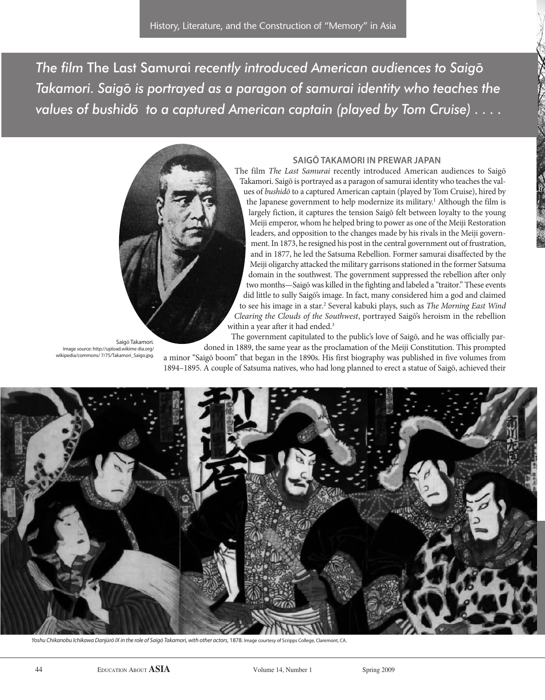**The film The Last Samurai recently introduced American audiences to Saigō** *Takamori. Saigō is portrayed as a paragon of samurai identity who teaches the values of bushido to a captured American captain (played by Tom Cruise) ....* 



Saigō Takamori.

Image source: http://upload.wikime dia.org/ wikipedia/commons/ 7/75/Takamori\_Saigo.jpg.

# **saigō TaKaMori in prewar Japan**

The film The Last Samurai recently introduced American audiences to Saigō Takamori. Saigō is portrayed as a paragon of samurai identity who teaches the values of bushidō to a captured American captain (played by Tom Cruise), hired by the Japanese government to help modernize its military.<sup>1</sup> Although the film is largely fiction, it captures the tension Saigō felt between loyalty to the young Meiji emperor, whom he helped bring to power as one of the Meiji Restoration leaders, and opposition to the changes made by his rivals in the Meiji government. In 1873, he resigned his post in the central government out of frustration, and in 1877, he led the Satsuma Rebellion. Former samurai disaffected by the Meiji oligarchy attacked the military garrisons stationed in the former Satsuma domain in the southwest. The government suppressed the rebellion after only two months—Saigō was killed in the fighting and labeled a "traitor." These events did little to sully Saigō's image. In fact, many considered him a god and claimed to see his image in a star.<sup>2</sup> Several kabuki plays, such as The Morning East Wind Clearing the Clouds of the Southwest, portrayed Saigō's heroism in the rebellion within a year after it had ended.<sup>3</sup>

The government capitulated to the public's love of Saigō, and he was officially pardoned in 1889, the same year as the proclamation of the Meiji Constitution. This prompted

a minor "Saigō boom" that began in the 1890s. His first biography was published in five volumes from 1894–1895. A couple of Satsuma natives, who had long planned to erect a statue of Saigō, achieved their



Yoshu Chikanobu Ichikawa Danjūrō IX in the role of Saigō Takamori, with other actors, 1878. Image courtesy of Scripps College, Claremont, CA.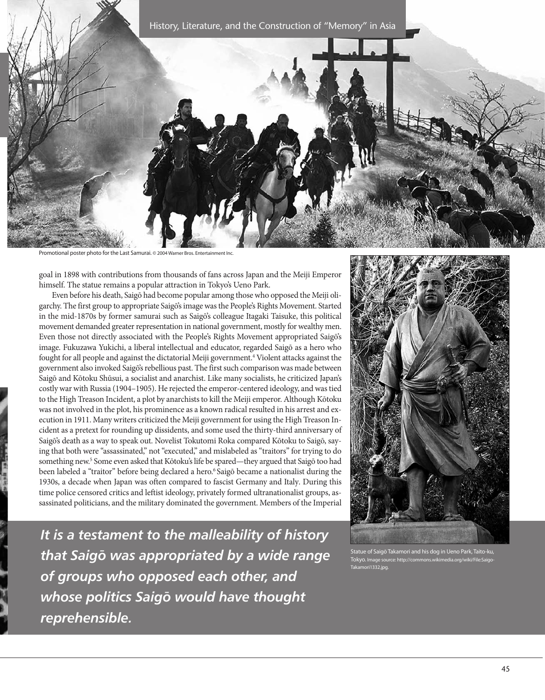

Promotional poster photo for the Last Samurai. © 2004 Warner Bros. Entertain

goal in 1898 with contributions from thousands of fans across Japan and the Meiji Emperor himself. The statue remains a popular attraction in Tokyo's Ueno Park.

Even before his death, Saigō had become popular among those who opposed the Meiji oligarchy. The first group to appropriate Saigō's image was the People's Rights Movement. Started in the mid-1870s by former samurai such as Saigō's colleague Itagaki Taisuke, this political movement demanded greater representation in national government, mostly for wealthy men. Even those not directly associated with the People's Rights Movement appropriated Saigō's image. Fukuzawa Yukichi, a liberal intellectual and educator, regarded Saigō as a hero who fought for all people and against the dictatorial Meiji government.4 Violent attacks against the government also invoked Saigō's rebellious past. The first such comparison was made between Saigō and Kōtoku Shūsui, a socialist and anarchist. Like many socialists, he criticized Japan's costly war with Russia (1904–1905). He rejected the emperor-centered ideology, and was tied to the High Treason Incident, a plot by anarchists to kill the Meiji emperor. Although Kōtoku was not involved in the plot, his prominence as a known radical resulted in his arrest and execution in 1911. Many writers criticized the Meiji government for using the High Treason Incident as a pretext for rounding up dissidents, and some used the thirty-third anniversary of Saigō's death as a way to speak out. Novelist Tokutomi Roka compared Kōtoku to Saigō, saying that both were "assassinated," not "executed," and mislabeled as "traitors" for trying to do something new.<sup>5</sup> Some even asked that Kōtoku's life be spared—they argued that Saigō too had been labeled a "traitor" before being declared a hero.<sup>6</sup> Saigō became a nationalist during the 1930s, a decade when Japan was often compared to fascist Germany and Italy. During this time police censored critics and leftist ideology, privately formed ultranationalist groups, assassinated politicians, and the military dominated the government. Members of the Imperial

*It is a testament to the malleability of history that Saig¯o was appropriated by a wide range of groups who opposed each other, and* **whose politics Saigō would have thought** *reprehensible.*



10 Takamori and his dog in Ueno Park, Taito-ku, Tokyo. Image source: http://commons.wikimedia.org/wiki/File:Saigo-Takamori1332.jpg.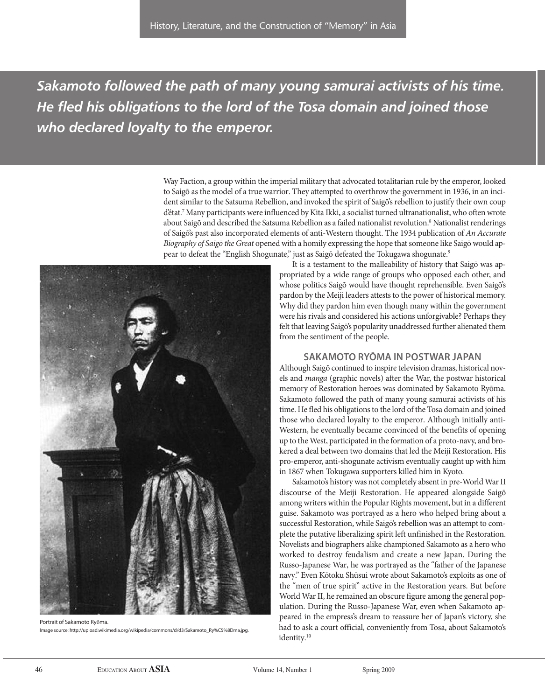*Sakamoto followed the path of many young samurai activists of his time. He fled his obligations to the lord of the Tosa domain and joined those who declared loyalty to the emperor.*

> Way Faction, a group within the imperial military that advocated totalitarian rule by the emperor, looked to Saigō as the model of a true warrior. They attempted to overthrow the government in 1936, in an incident similar to the Satsuma Rebellion, and invoked the spirit of Saigō's rebellion to justify their own coup d'état.7 Many participants were influenced by Kita Ikki, a socialist turned ultranationalist, who often wrote about Saigō and described the Satsuma Rebellion as a failed nationalist revolution.<sup>8</sup> Nationalist renderings of Saigō's past also incorporated elements of anti-Western thought. The 1934 publication of An Accurate Biography of Saigō the Great opened with a homily expressing the hope that someone like Saigō would appear to defeat the "English Shogunate," just as Saigō defeated the Tokugawa shogunate.9



Portrait of Sakamoto Ryōma. Image source: http://upload.wikimedia.org/wikipedia/commons/d/d3/Sakamoto\_Ry%C5%8Dma.jpg.

It is a testament to the malleability of history that Saigō was appropriated by a wide range of groups who opposed each other, and whose politics Saigō would have thought reprehensible. Even Saigō's pardon by the Meiji leaders attests to the power of historical memory. Why did they pardon him even though many within the government were his rivals and considered his actions unforgivable? Perhaps they felt that leaving Saigō's popularity unaddressed further alienated them from the sentiment of the people.

### **saKaMoTo ryōMa in posTwar Japan**

Although Saigō continued to inspire television dramas, historical novels and manga (graphic novels) after the War, the postwar historical memory of Restoration heroes was dominated by Sakamoto Ryōma. Sakamoto followed the path of many young samurai activists of his time. He fled his obligations to the lord of the Tosa domain and joined those who declared loyalty to the emperor. Although initially anti-Western, he eventually became convinced of the benefits of opening up to the West, participated in the formation of a proto-navy, and brokered a deal between two domains that led the Meiji Restoration. His pro-emperor, anti-shogunate activism eventually caught up with him in 1867 when Tokugawa supporters killed him in Kyoto.

Sakamoto's history was not completely absent in pre-World War II discourse of the Meiji Restoration. He appeared alongside Saigō among writers within the Popular Rights movement, but in a different guise. Sakamoto was portrayed as a hero who helped bring about a successful Restoration, while Saigō's rebellion was an attempt to complete the putative liberalizing spirit left unfinished in the Restoration. Novelists and biographers alike championed Sakamoto as a hero who worked to destroy feudalism and create a new Japan. During the Russo-Japanese War, he was portrayed as the "father of the Japanese navy." Even Kōtoku Shūsui wrote about Sakamoto's exploits as one of the "men of true spirit" active in the Restoration years. But before World War II, he remained an obscure figure among the general population. During the Russo-Japanese War, even when Sakamoto appeared in the empress's dream to reassure her of Japan's victory, she had to ask a court official, conveniently from Tosa, about Sakamoto's identity.<sup>10</sup>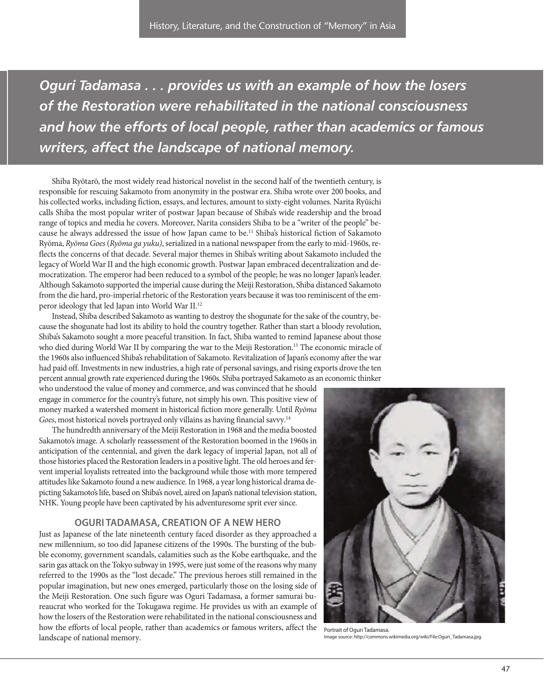*Oguri Tadamasa . . . provides us with an example of how the losers of the Restoration were rehabilitated in the national consciousness and how the efforts of local people, rather than academics or famous writers, affect the landscape of national memory.*

Shiba Ryōtarō, the most widely read historical novelist in the second half of the twentieth century, is responsible for rescuing Sakamoto from anonymity in the postwar era. Shiba wrote over 200 books, and his collected works, including fiction, essays, and lectures, amount to sixty-eight volumes. Narita Ryūichi calls Shiba the most popular writer of postwar Japan because of Shiba's wide readership and the broad range of topics and media he covers. Moreover, Narita considers Shiba to be a "writer of the people" because he always addressed the issue of how Japan came to be.11 Shiba's historical fiction of Sakamoto Ryōma, Ryōma Goes (Ryōma ga yuku), serialized in a national newspaper from the early to mid-1960s, reflects the concerns of that decade. Several major themes in Shiba's writing about Sakamoto included the legacy of World War II and the high economic growth. Postwar Japan embraced decentralization and democratization. The emperor had been reduced to a symbol of the people; he was no longer Japan's leader. Although Sakamoto supported the imperial cause during the Meiji Restoration, Shiba distanced Sakamoto from the die hard, pro-imperial rhetoric of the Restoration years because it was too reminiscent of the emperor ideology that led Japan into World War II.12

Instead, Shiba described Sakamoto as wanting to destroy the shogunate for the sake of the country, because the shogunate had lost its ability to hold the country together. Rather than start a bloody revolution, Shiba's Sakamoto sought a more peaceful transition. In fact, Shiba wanted to remind Japanese about those who died during World War II by comparing the war to the Meiji Restoration.<sup>13</sup> The economic miracle of the 1960s also influenced Shiba's rehabilitation of Sakamoto. Revitalization of Japan's economy after the war had paid off. Investments in new industries, a high rate of personal savings, and rising exports drove the ten percent annual growth rate experienced during the 1960s. Shiba portrayed Sakamoto as an economic thinker

who understood the value of money and commerce, and was convinced that he should engage in commerce for the country's future, not simply his own. This positive view of money marked a watershed moment in historical fiction more generally. Until Ryōma Goes, most historical novels portrayed only villains as having financial savvy.<sup>14</sup>

The hundredth anniversary of the Meiji Restoration in 1968 and the media boosted Sakamoto's image. A scholarly reassessment of the Restoration boomed in the 1960s in anticipation of the centennial, and given the dark legacy of imperial Japan, not all of those histories placed the Restoration leaders in a positive light. The old heroes and fervent imperial loyalists retreated into the background while those with more tempered attitudes like Sakamoto found a new audience. In 1968, a year long historical drama depicting Sakamoto's life, based on Shiba's novel, aired on Japan's national television station, NHK. Young people have been captivated by his adventuresome sprit ever since.

#### **oguri TaDaMasa, CreaTion oF a new hero**

Just as Japanese of the late nineteenth century faced disorder as they approached a new millennium, so too did Japanese citizens of the 1990s. The bursting of the bubble economy, government scandals, calamities such as the Kobe earthquake, and the sarin gas attack on the Tokyo subway in 1995, were just some of the reasons why many referred to the 1990s as the "lost decade." The previous heroes still remained in the popular imagination, but new ones emerged, particularly those on the losing side of the Meiji Restoration. One such figure was Oguri Tadamasa, a former samurai bureaucrat who worked for the Tokugawa regime. He provides us with an example of how the losers of the Restoration were rehabilitated in the national consciousness and how the efforts of local people, rather than academics or famous writers, affect the landscape of national memory.



Portrait of Oguri Tadamasa. Image source: http://commons.wikimedia.org/wiki/File:Oguri\_Tadamasa.jpg.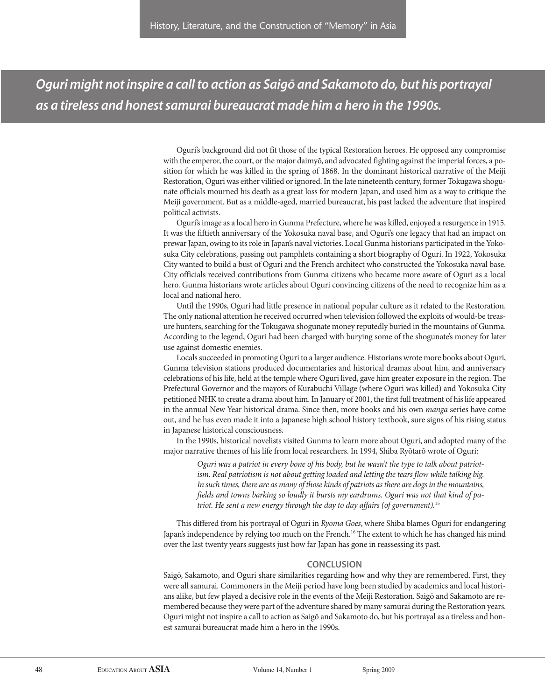*Oguri might not inspire a call to action as Saigō and Sakamoto do, but his portrayal as a tireless and honest samurai bureaucrat made him a hero in the 1990s.*

> Oguri's background did not fit those of the typical Restoration heroes. He opposed any compromise with the emperor, the court, or the major daimyō, and advocated fighting against the imperial forces, a position for which he was killed in the spring of 1868. In the dominant historical narrative of the Meiji Restoration, Oguri was either vilified or ignored. In the late nineteenth century, former Tokugawa shogunate officials mourned his death as a great loss for modern Japan, and used him as a way to critique the Meiji government. But as a middle-aged, married bureaucrat, his past lacked the adventure that inspired political activists.

> Oguri's image as a local hero in Gunma Prefecture, where he was killed, enjoyed a resurgence in 1915. It was the fiftieth anniversary of the Yokosuka naval base, and Oguri's one legacy that had an impact on prewar Japan, owing to its role in Japan's naval victories. Local Gunma historians participated in the Yokosuka City celebrations, passing out pamphlets containing a short biography of Oguri. In 1922, Yokosuka City wanted to build a bust of Oguri and the French architect who constructed the Yokosuka naval base. City officials received contributions from Gunma citizens who became more aware of Oguri as a local hero. Gunma historians wrote articles about Oguri convincing citizens of the need to recognize him as a local and national hero.

> Until the 1990s, Oguri had little presence in national popular culture as it related to the Restoration. The only national attention he received occurred when television followed the exploits of would-be treasure hunters, searching for the Tokugawa shogunate money reputedly buried in the mountains of Gunma. According to the legend, Oguri had been charged with burying some of the shogunate's money for later use against domestic enemies.

> Locals succeeded in promoting Oguri to a larger audience. Historians wrote more books about Oguri, Gunma television stations produced documentaries and historical dramas about him, and anniversary celebrations of his life, held at the temple where Oguri lived, gave him greater exposure in the region. The Prefectural Governor and the mayors of Kurabuchi Village (where Oguri was killed) and Yokosuka City petitioned NHK to create a drama about him. In January of 2001, the first full treatment of his life appeared in the annual New Year historical drama. Since then, more books and his own *manga* series have come out, and he has even made it into a Japanese high school history textbook, sure signs of his rising status in Japanese historical consciousness.

> In the 1990s, historical novelists visited Gunma to learn more about Oguri, and adopted many of the major narrative themes of his life from local researchers. In 1994, Shiba Ryōtarō wrote of Oguri:

Oguri was a patriot in every bone of his body, but he wasn't the type to talk about patriotism. Real patriotism is not about getting loaded and letting the tears flow while talking big. In such times, there are as many of those kinds of patriots as there are dogs in the mountains, fields and towns barking so loudly it bursts my eardrums. Oguri was not that kind of patriot. He sent a new energy through the day to day affairs (of government).<sup>15</sup>

This differed from his portrayal of Oguri in Ryōma Goes, where Shiba blames Oguri for endangering Japan's independence by relying too much on the French.<sup>16</sup> The extent to which he has changed his mind over the last twenty years suggests just how far Japan has gone in reassessing its past.

# **ConClusion**

Saigō, Sakamoto, and Oguri share similarities regarding how and why they are remembered. First, they were all samurai. Commoners in the Meiji period have long been studied by academics and local historians alike, but few played a decisive role in the events of the Meiji Restoration. Saigō and Sakamoto are remembered because they were part of the adventure shared by many samurai during the Restoration years. Oguri might not inspire a call to action as Saigō and Sakamoto do, but his portrayal as a tireless and honest samurai bureaucrat made him a hero in the 1990s.